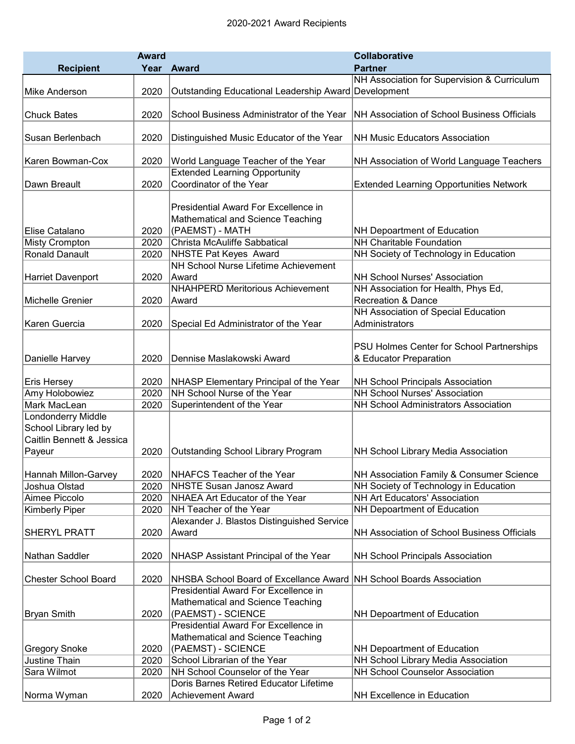|                             | <b>Award</b> |                                                      | <b>Collaborative</b>                           |
|-----------------------------|--------------|------------------------------------------------------|------------------------------------------------|
| <b>Recipient</b>            | Year         | Award                                                | <b>Partner</b>                                 |
|                             |              |                                                      | NH Association for Supervision & Curriculum    |
| Mike Anderson               | 2020         | Outstanding Educational Leadership Award Development |                                                |
|                             |              |                                                      |                                                |
| <b>Chuck Bates</b>          | 2020         | School Business Administrator of the Year            | NH Association of School Business Officials    |
| Susan Berlenbach            | 2020         | Distinguished Music Educator of the Year             | <b>NH Music Educators Association</b>          |
|                             |              |                                                      |                                                |
| Karen Bowman-Cox            | 2020         | World Language Teacher of the Year                   | NH Association of World Language Teachers      |
|                             |              | <b>Extended Learning Opportunity</b>                 |                                                |
| Dawn Breault                | 2020         | Coordinator of the Year                              | <b>Extended Learning Opportunities Network</b> |
|                             |              |                                                      |                                                |
|                             |              | Presidential Award For Excellence in                 |                                                |
|                             |              | Mathematical and Science Teaching                    |                                                |
| Elise Catalano              | 2020         | (PAEMST) - MATH                                      | NH Depoartment of Education                    |
| <b>Misty Crompton</b>       | 2020         | Christa McAuliffe Sabbatical                         | <b>NH Charitable Foundation</b>                |
| <b>Ronald Danault</b>       | 2020         | <b>NHSTE Pat Keyes Award</b>                         | NH Society of Technology in Education          |
|                             |              | NH School Nurse Lifetime Achievement                 |                                                |
| <b>Harriet Davenport</b>    | 2020         | Award                                                | NH School Nurses' Association                  |
|                             |              | <b>NHAHPERD Meritorious Achievement</b>              | NH Association for Health, Phys Ed,            |
| Michelle Grenier            | 2020         | Award                                                | <b>Recreation &amp; Dance</b>                  |
|                             |              |                                                      | NH Association of Special Education            |
| Karen Guercia               | 2020         | Special Ed Administrator of the Year                 | Administrators                                 |
|                             |              |                                                      |                                                |
|                             |              |                                                      | PSU Holmes Center for School Partnerships      |
| Danielle Harvey             | 2020         | Dennise Maslakowski Award                            | & Educator Preparation                         |
| <b>Eris Hersey</b>          | 2020         | NHASP Elementary Principal of the Year               | <b>NH School Principals Association</b>        |
| Amy Holobowiez              | 2020         | NH School Nurse of the Year                          | <b>NH School Nurses' Association</b>           |
| Mark MacLean                | 2020         | Superintendent of the Year                           | <b>NH School Administrators Association</b>    |
| Londonderry Middle          |              |                                                      |                                                |
| School Library led by       |              |                                                      |                                                |
| Caitlin Bennett & Jessica   |              |                                                      |                                                |
| Payeur                      | 2020         | <b>Outstanding School Library Program</b>            | NH School Library Media Association            |
|                             |              |                                                      |                                                |
| Hannah Millon-Garvey        | 2020         | NHAFCS Teacher of the Year                           | NH Association Family & Consumer Science       |
| Joshua Olstad               | 2020         | <b>NHSTE Susan Janosz Award</b>                      | NH Society of Technology in Education          |
| Aimee Piccolo               | 2020         | NHAEA Art Educator of the Year                       | <b>NH Art Educators' Association</b>           |
| <b>Kimberly Piper</b>       | 2020         | NH Teacher of the Year                               | NH Depoartment of Education                    |
|                             |              | Alexander J. Blastos Distinguished Service           |                                                |
| <b>SHERYL PRATT</b>         | 2020         | Award                                                | NH Association of School Business Officials    |
|                             |              |                                                      |                                                |
| Nathan Saddler              | 2020         | NHASP Assistant Principal of the Year                | <b>NH School Principals Association</b>        |
|                             |              | NHSBA School Board of Excellance Award               | <b>NH School Boards Association</b>            |
| <b>Chester School Board</b> | 2020         | Presidential Award For Excellence in                 |                                                |
|                             |              | Mathematical and Science Teaching                    |                                                |
| <b>Bryan Smith</b>          | 2020         | (PAEMST) - SCIENCE                                   | NH Depoartment of Education                    |
|                             |              | Presidential Award For Excellence in                 |                                                |
|                             |              | Mathematical and Science Teaching                    |                                                |
| <b>Gregory Snoke</b>        | 2020         | (PAEMST) - SCIENCE                                   | NH Depoartment of Education                    |
| <b>Justine Thain</b>        | 2020         | School Librarian of the Year                         | NH School Library Media Association            |
| Sara Wilmot                 | 2020         | NH School Counselor of the Year                      | <b>NH School Counselor Association</b>         |
|                             |              | Doris Barnes Retired Educator Lifetime               |                                                |
| Norma Wyman                 | 2020         | Achievement Award                                    | NH Excellence in Education                     |